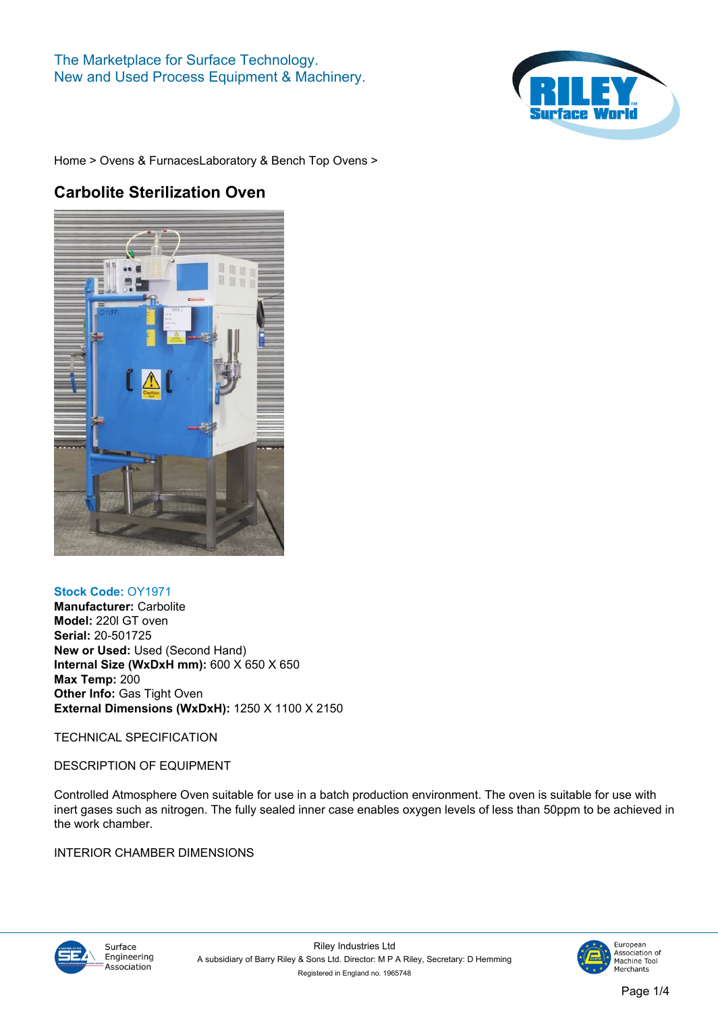## **The Marketplace for Surface Technology. New and Used Process Equipment & Machinery.**



**[Home](https://www.rileysurfaceworld.co.uk) > [Ovens & Furnaces](https://www.rileysurfaceworld.co.uk/ovens.asp)[Laboratory & Bench Top Ovens](https://www.rileysurfaceworld.co.uk/ovens-laboratory.asp) >**

## **Carbolite Sterilization Oven**



## **Stock Code: OY1971**

**Manufacturer: Carbolite Model: 220l GT oven Serial: 20-501725 New or Used: Used (Second Hand) Internal Size (WxDxH mm): 600 X 650 X 650 Max Temp: 200 Other Info: Gas Tight Oven External Dimensions (WxDxH): 1250 X 1100 X 2150**

**TECHNICAL SPECIFICATION**

**DESCRIPTION OF EQUIPMENT**

**Controlled Atmosphere Oven suitable for use in a batch production environment. The oven is suitable for use with inert gases such as nitrogen. The fully sealed inner case enables oxygen levels of less than 50ppm to be achieved in the work chamber.**

## **INTERIOR CHAMBER DIMENSIONS**





Machine Tool<br>Machine Tool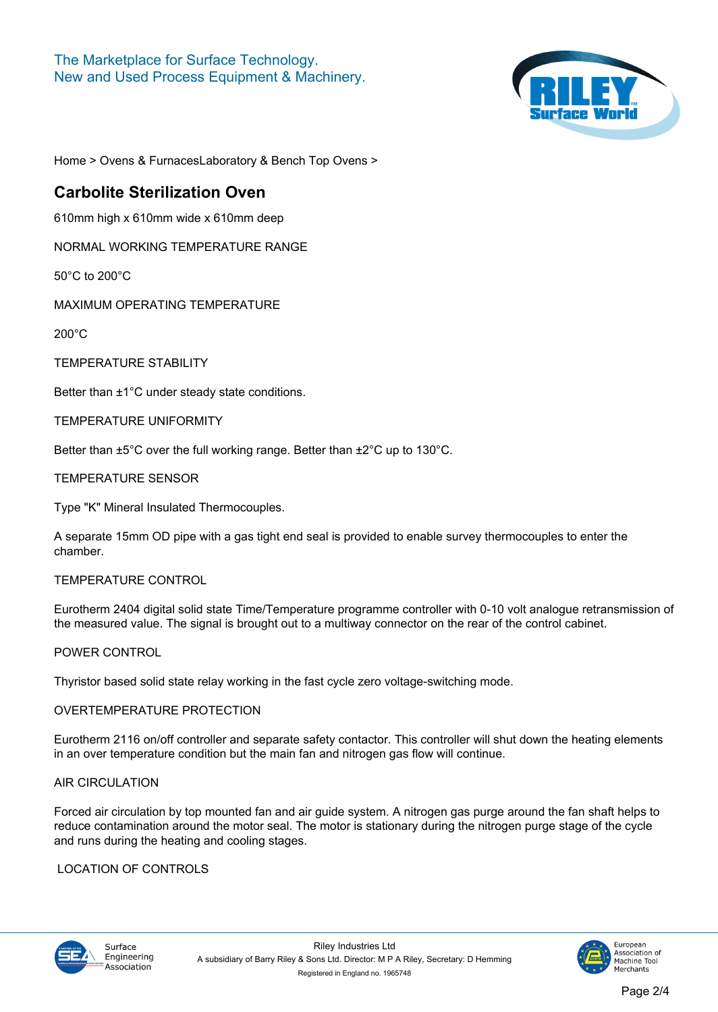

**[Home](https://www.rileysurfaceworld.co.uk) > [Ovens & Furnaces](https://www.rileysurfaceworld.co.uk/ovens.asp)[Laboratory & Bench Top Ovens](https://www.rileysurfaceworld.co.uk/ovens-laboratory.asp) >**

## **Carbolite Sterilization Oven**

**610mm high x 610mm wide x 610mm deep**

**NORMAL WORKING TEMPERATURE RANGE**

**50°C to 200°C**

**MAXIMUM OPERATING TEMPERATURE**

**200°C**

**TEMPERATURE STABILITY**

**Better than ±1°C under steady state conditions.**

**TEMPERATURE UNIFORMITY**

**Better than ±5°C over the full working range. Better than ±2°C up to 130°C.**

**TEMPERATURE SENSOR**

**Type "K" Mineral Insulated Thermocouples.**

**A separate 15mm OD pipe with a gas tight end seal is provided to enable survey thermocouples to enter the chamber.**

## **TEMPERATURE CONTROL**

**Eurotherm 2404 digital solid state Time/Temperature programme controller with 0-10 volt analogue retransmission of the measured value. The signal is brought out to a multiway connector on the rear of the control cabinet.**

## **POWER CONTROL**

**Thyristor based solid state relay working in the fast cycle zero voltage-switching mode.**

## **OVERTEMPERATURE PROTECTION**

**Eurotherm 2116 on/off controller and separate safety contactor. This controller will shut down the heating elements in an over temperature condition but the main fan and nitrogen gas flow will continue.**

## **AIR CIRCULATION**

**Forced air circulation by top mounted fan and air guide system. A nitrogen gas purge around the fan shaft helps to reduce contamination around the motor seal. The motor is stationary during the nitrogen purge stage of the cycle and runs during the heating and cooling stages.**

## **LOCATION OF CONTROLS**



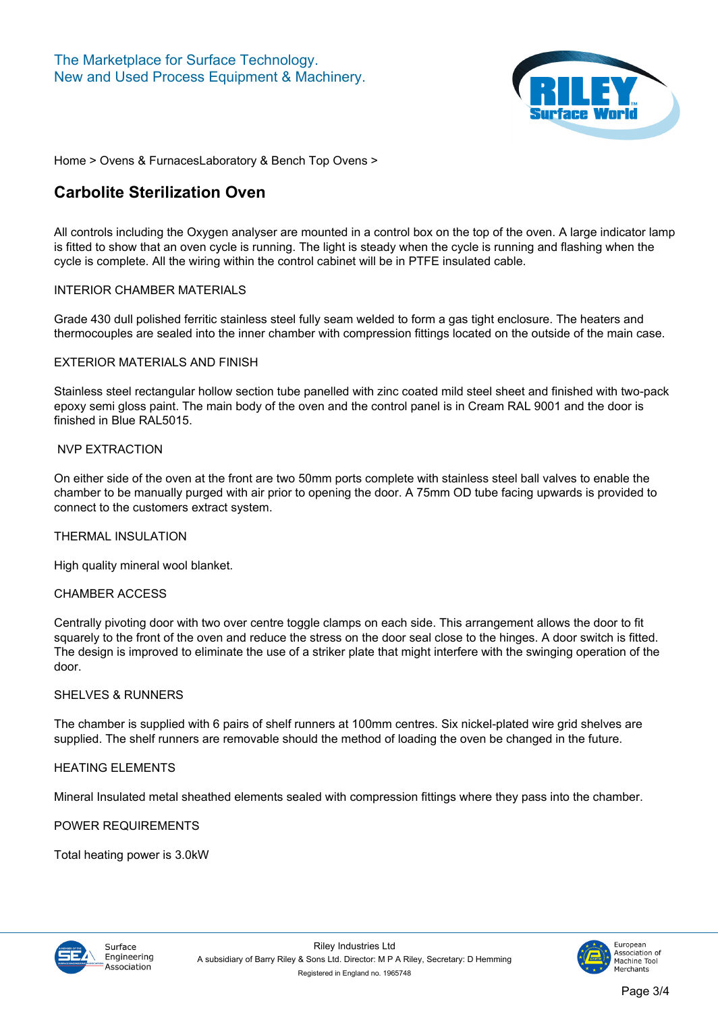

**[Home](https://www.rileysurfaceworld.co.uk) > [Ovens & Furnaces](https://www.rileysurfaceworld.co.uk/ovens.asp)[Laboratory & Bench Top Ovens](https://www.rileysurfaceworld.co.uk/ovens-laboratory.asp) >**

## **Carbolite Sterilization Oven**

**All controls including the Oxygen analyser are mounted in a control box on the top of the oven. A large indicator lamp is fitted to show that an oven cycle is running. The light is steady when the cycle is running and flashing when the cycle is complete. All the wiring within the control cabinet will be in PTFE insulated cable.**

## **INTERIOR CHAMBER MATERIALS**

**Grade 430 dull polished ferritic stainless steel fully seam welded to form a gas tight enclosure. The heaters and thermocouples are sealed into the inner chamber with compression fittings located on the outside of the main case.**

#### **EXTERIOR MATERIALS AND FINISH**

**Stainless steel rectangular hollow section tube panelled with zinc coated mild steel sheet and finished with two-pack epoxy semi gloss paint. The main body of the oven and the control panel is in Cream RAL 9001 and the door is finished in Blue RAL5015.**

## **NVP EXTRACTION**

**On either side of the oven at the front are two 50mm ports complete with stainless steel ball valves to enable the chamber to be manually purged with air prior to opening the door. A 75mm OD tube facing upwards is provided to connect to the customers extract system.**

**THERMAL INSULATION**

**High quality mineral wool blanket.**

## **CHAMBER ACCESS**

**Centrally pivoting door with two over centre toggle clamps on each side. This arrangement allows the door to fit squarely to the front of the oven and reduce the stress on the door seal close to the hinges. A door switch is fitted. The design is improved to eliminate the use of a striker plate that might interfere with the swinging operation of the door.**

## **SHELVES & RUNNERS**

**The chamber is supplied with 6 pairs of shelf runners at 100mm centres. Six nickel-plated wire grid shelves are supplied. The shelf runners are removable should the method of loading the oven be changed in the future.**

## **HEATING ELEMENTS**

**Mineral Insulated metal sheathed elements sealed with compression fittings where they pass into the chamber.**

## **POWER REQUIREMENTS**

**Total heating power is 3.0kW**